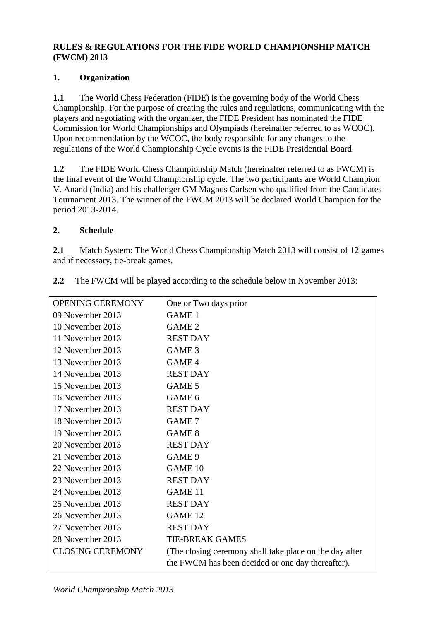### **RULES & REGULATIONS FOR THE FIDE WORLD CHAMPIONSHIP MATCH (FWCM) 2013**

### **1. Organization**

**1.1** The World Chess Federation (FIDE) is the governing body of the World Chess Championship. For the purpose of creating the rules and regulations, communicating with the players and negotiating with the organizer, the FIDE President has nominated the FIDE Commission for World Championships and Olympiads (hereinafter referred to as WCOC). Upon recommendation by the WCOC, the body responsible for any changes to the regulations of the World Championship Cycle events is the FIDE Presidential Board.

**1.2** The FIDE World Chess Championship Match (hereinafter referred to as FWCM) is the final event of the World Championship cycle. The two participants are World Champion V. Anand (India) and his challenger GM Magnus Carlsen who qualified from the Candidates Tournament 2013. The winner of the FWCM 2013 will be declared World Champion for the period 2013-2014.

### **2. Schedule**

**2.1** Match System: The World Chess Championship Match 2013 will consist of 12 games and if necessary, tie-break games.

| <b>OPENING CEREMONY</b> | One or Two days prior                                    |
|-------------------------|----------------------------------------------------------|
| 09 November 2013        | <b>GAME 1</b>                                            |
| 10 November 2013        | GAME <sub>2</sub>                                        |
| 11 November 2013        | <b>REST DAY</b>                                          |
| 12 November 2013        | GAME <sub>3</sub>                                        |
| 13 November 2013        | GAME <sub>4</sub>                                        |
| 14 November 2013        | <b>REST DAY</b>                                          |
| 15 November 2013        | GAME 5                                                   |
| 16 November 2013        | GAME 6                                                   |
| 17 November 2013        | <b>REST DAY</b>                                          |
| 18 November 2013        | GAME 7                                                   |
| 19 November 2013        | GAME <sub>8</sub>                                        |
| 20 November 2013        | <b>REST DAY</b>                                          |
| 21 November 2013        | GAME <sub>9</sub>                                        |
| 22 November 2013        | <b>GAME 10</b>                                           |
| 23 November 2013        | <b>REST DAY</b>                                          |
| 24 November 2013        | <b>GAME 11</b>                                           |
| 25 November 2013        | <b>REST DAY</b>                                          |
| 26 November 2013        | <b>GAME 12</b>                                           |
| 27 November 2013        | <b>REST DAY</b>                                          |
| 28 November 2013        | <b>TIE-BREAK GAMES</b>                                   |
| <b>CLOSING CEREMONY</b> | (The closing ceremony shall take place on the day after) |
|                         | the FWCM has been decided or one day thereafter).        |

**2.2** The FWCM will be played according to the schedule below in November 2013: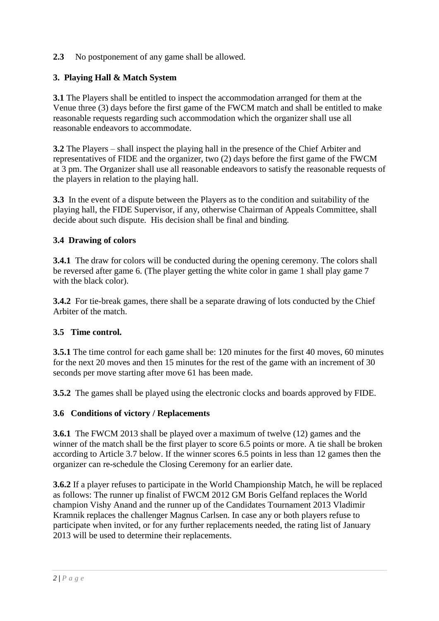### **2.3** No postponement of any game shall be allowed.

### **3. Playing Hall & Match System**

**3.1** The Players shall be entitled to inspect the accommodation arranged for them at the Venue three (3) days before the first game of the FWCM match and shall be entitled to make reasonable requests regarding such accommodation which the organizer shall use all reasonable endeavors to accommodate.

**3.2** The Players – shall inspect the playing hall in the presence of the Chief Arbiter and representatives of FIDE and the organizer, two (2) days before the first game of the FWCM at 3 pm. The Organizer shall use all reasonable endeavors to satisfy the reasonable requests of the players in relation to the playing hall.

**3.3** In the event of a dispute between the Players as to the condition and suitability of the playing hall, the FIDE Supervisor, if any, otherwise Chairman of Appeals Committee, shall decide about such dispute. His decision shall be final and binding.

### **3.4 Drawing of colors**

**3.4.1** The draw for colors will be conducted during the opening ceremony. The colors shall be reversed after game 6. (The player getting the white color in game 1 shall play game 7 with the black color).

**3.4.2** For tie-break games, there shall be a separate drawing of lots conducted by the Chief Arbiter of the match.

### **3.5 Time control.**

**3.5.1** The time control for each game shall be: 120 minutes for the first 40 moves, 60 minutes for the next 20 moves and then 15 minutes for the rest of the game with an increment of 30 seconds per move starting after move 61 has been made.

**3.5.2** The games shall be played using the electronic clocks and boards approved by FIDE.

### **3.6 Conditions of victory / Replacements**

**3.6.1** The FWCM 2013 shall be played over a maximum of twelve (12) games and the winner of the match shall be the first player to score 6.5 points or more. A tie shall be broken according to Article 3.7 below. If the winner scores 6.5 points in less than 12 games then the organizer can re-schedule the Closing Ceremony for an earlier date.

**3.6.2** If a player refuses to participate in the World Championship Match, he will be replaced as follows: The runner up finalist of FWCM 2012 GM Boris Gelfand replaces the World champion Vishy Anand and the runner up of the Candidates Tournament 2013 Vladimir Kramnik replaces the challenger Magnus Carlsen. In case any or both players refuse to participate when invited, or for any further replacements needed, the rating list of January 2013 will be used to determine their replacements.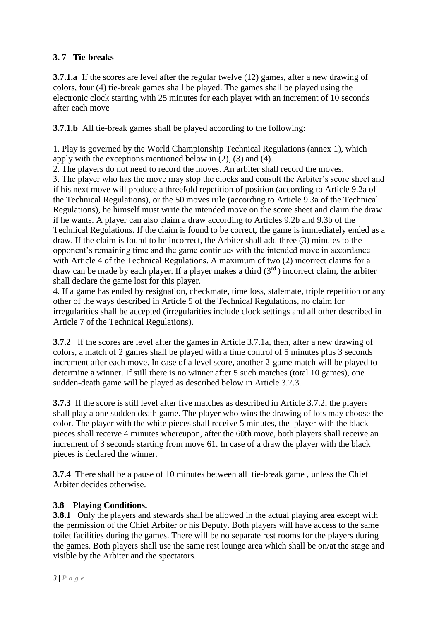# **3. 7 Tie-breaks**

**3.7.1.a** If the scores are level after the regular twelve (12) games, after a new drawing of colors, four (4) tie-break games shall be played. The games shall be played using the electronic clock starting with 25 minutes for each player with an increment of 10 seconds after each move

**3.7.1.b** All tie-break games shall be played according to the following:

1. Play is governed by the World Championship Technical Regulations (annex 1), which apply with the exceptions mentioned below in (2), (3) and (4).

2. The players do not need to record the moves. An arbiter shall record the moves.

3. The player who has the move may stop the clocks and consult the Arbiter's score sheet and if his next move will produce a threefold repetition of position (according to Article 9.2a of the Technical Regulations), or the 50 moves rule (according to Article 9.3a of the Technical Regulations), he himself must write the intended move on the score sheet and claim the draw if he wants. A player can also claim a draw according to Articles 9.2b and 9.3b of the Technical Regulations. If the claim is found to be correct, the game is immediately ended as a draw. If the claim is found to be incorrect, the Arbiter shall add three (3) minutes to the opponent's remaining time and the game continues with the intended move in accordance with Article 4 of the Technical Regulations. A maximum of two (2) incorrect claims for a draw can be made by each player. If a player makes a third  $(3<sup>rd</sup>)$  incorrect claim, the arbiter shall declare the game lost for this player.

4. If a game has ended by resignation, checkmate, time loss, stalemate, triple repetition or any other of the ways described in Article 5 of the Technical Regulations, no claim for irregularities shall be accepted (irregularities include clock settings and all other described in Article 7 of the Technical Regulations).

**3.7.2** If the scores are level after the games in Article 3.7.1a, then, after a new drawing of colors, a match of 2 games shall be played with a time control of 5 minutes plus 3 seconds increment after each move. In case of a level score, another 2-game match will be played to determine a winner. If still there is no winner after 5 such matches (total 10 games), one sudden-death game will be played as described below in Article 3.7.3.

**3.7.3** If the score is still level after five matches as described in Article 3.7.2, the players shall play a one sudden death game. The player who wins the drawing of lots may choose the color. The player with the white pieces shall receive 5 minutes, the player with the black pieces shall receive 4 minutes whereupon, after the 60th move, both players shall receive an increment of 3 seconds starting from move 61. In case of a draw the player with the black pieces is declared the winner.

**3.7.4** There shall be a pause of 10 minutes between all tie-break game , unless the Chief Arbiter decides otherwise.

### **3.8 Playing Conditions.**

**3.8.1** Only the players and stewards shall be allowed in the actual playing area except with the permission of the Chief Arbiter or his Deputy. Both players will have access to the same toilet facilities during the games. There will be no separate rest rooms for the players during the games. Both players shall use the same rest lounge area which shall be on/at the stage and visible by the Arbiter and the spectators.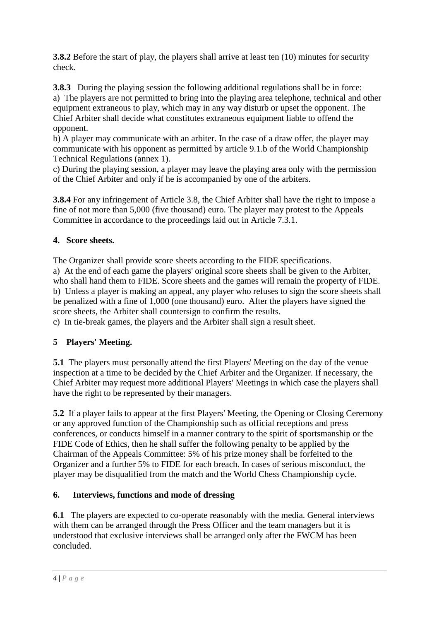**3.8.2** Before the start of play, the players shall arrive at least ten (10) minutes for security check.

**3.8.3** During the playing session the following additional regulations shall be in force: a) The players are not permitted to bring into the playing area telephone, technical and other equipment extraneous to play, which may in any way disturb or upset the opponent. The Chief Arbiter shall decide what constitutes extraneous equipment liable to offend the opponent.

b) A player may communicate with an arbiter. In the case of a draw offer, the player may communicate with his opponent as permitted by article 9.1.b of the World Championship Technical Regulations (annex 1).

c) During the playing session, a player may leave the playing area only with the permission of the Chief Arbiter and only if he is accompanied by one of the arbiters.

**3.8.4** For any infringement of Article 3.8, the Chief Arbiter shall have the right to impose a fine of not more than 5,000 (five thousand) euro. The player may protest to the Appeals Committee in accordance to the proceedings laid out in Article 7.3.1.

### **4. Score sheets.**

The Organizer shall provide score sheets according to the FIDE specifications. a) At the end of each game the players' original score sheets shall be given to the Arbiter, who shall hand them to FIDE. Score sheets and the games will remain the property of FIDE. b) Unless a player is making an appeal, any player who refuses to sign the score sheets shall be penalized with a fine of 1,000 (one thousand) euro. After the players have signed the score sheets, the Arbiter shall countersign to confirm the results.

c) In tie-break games, the players and the Arbiter shall sign a result sheet.

# **5 Players' Meeting.**

**5.1** The players must personally attend the first Players' Meeting on the day of the venue inspection at a time to be decided by the Chief Arbiter and the Organizer. If necessary, the Chief Arbiter may request more additional Players' Meetings in which case the players shall have the right to be represented by their managers.

**5.2** If a player fails to appear at the first Players' Meeting, the Opening or Closing Ceremony or any approved function of the Championship such as official receptions and press conferences, or conducts himself in a manner contrary to the spirit of sportsmanship or the FIDE Code of Ethics, then he shall suffer the following penalty to be applied by the Chairman of the Appeals Committee: 5% of his prize money shall be forfeited to the Organizer and a further 5% to FIDE for each breach. In cases of serious misconduct, the player may be disqualified from the match and the World Chess Championship cycle.

### **6. Interviews, functions and mode of dressing**

**6.1** The players are expected to co-operate reasonably with the media. General interviews with them can be arranged through the Press Officer and the team managers but it is understood that exclusive interviews shall be arranged only after the FWCM has been concluded.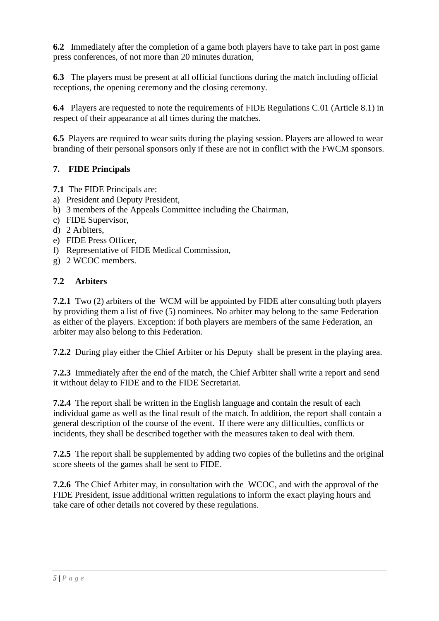**6.2** Immediately after the completion of a game both players have to take part in post game press conferences, of not more than 20 minutes duration,

**6.3** The players must be present at all official functions during the match including official receptions, the opening ceremony and the closing ceremony.

**6.4** Players are requested to note the requirements of FIDE Regulations C.01 (Article 8.1) in respect of their appearance at all times during the matches.

**6.5** Players are required to wear suits during the playing session. Players are allowed to wear branding of their personal sponsors only if these are not in conflict with the FWCM sponsors.

### **7. FIDE Principals**

**7.1** The FIDE Principals are:

- a) President and Deputy President,
- b) 3 members of the Appeals Committee including the Chairman,
- c) FIDE Supervisor,
- d) 2 Arbiters,
- e) FIDE Press Officer,
- f) Representative of FIDE Medical Commission,
- g) 2 WCOC members.

### **7.2 Arbiters**

**7.2.1** Two (2) arbiters of the WCM will be appointed by FIDE after consulting both players by providing them a list of five (5) nominees. No arbiter may belong to the same Federation as either of the players. Exception: if both players are members of the same Federation, an arbiter may also belong to this Federation.

**7.2.2** During play either the Chief Arbiter or his Deputy shall be present in the playing area.

**7.2.3** Immediately after the end of the match, the Chief Arbiter shall write a report and send it without delay to FIDE and to the FIDE Secretariat.

**7.2.4** The report shall be written in the English language and contain the result of each individual game as well as the final result of the match. In addition, the report shall contain a general description of the course of the event. If there were any difficulties, conflicts or incidents, they shall be described together with the measures taken to deal with them.

**7.2.5** The report shall be supplemented by adding two copies of the bulletins and the original score sheets of the games shall be sent to FIDE.

**7.2.6** The Chief Arbiter may, in consultation with the WCOC, and with the approval of the FIDE President, issue additional written regulations to inform the exact playing hours and take care of other details not covered by these regulations.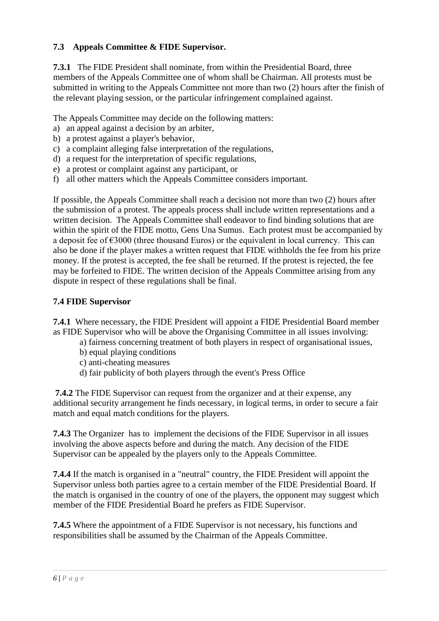### **7.3 Appeals Committee & FIDE Supervisor.**

**7.3.1** The FIDE President shall nominate, from within the Presidential Board, three members of the Appeals Committee one of whom shall be Chairman. All protests must be submitted in writing to the Appeals Committee not more than two (2) hours after the finish of the relevant playing session, or the particular infringement complained against.

The Appeals Committee may decide on the following matters:

- a) an appeal against a decision by an arbiter,
- b) a protest against a player's behavior,
- c) a complaint alleging false interpretation of the regulations,
- d) a request for the interpretation of specific regulations,
- e) a protest or complaint against any participant, or
- f) all other matters which the Appeals Committee considers important.

If possible, the Appeals Committee shall reach a decision not more than two (2) hours after the submission of a protest. The appeals process shall include written representations and a written decision. The Appeals Committee shall endeavor to find binding solutions that are within the spirit of the FIDE motto, Gens Una Sumus. Each protest must be accompanied by a deposit fee of  $\epsilon$ 3000 (three thousand Euros) or the equivalent in local currency. This can also be done if the player makes a written request that FIDE withholds the fee from his prize money. If the protest is accepted, the fee shall be returned. If the protest is rejected, the fee may be forfeited to FIDE. The written decision of the Appeals Committee arising from any dispute in respect of these regulations shall be final.

### **7.4 FIDE Supervisor**

**7.4.1** Where necessary, the FIDE President will appoint a FIDE Presidential Board member as FIDE Supervisor who will be above the Organising Committee in all issues involving:

- a) fairness concerning treatment of both players in respect of organisational issues,
- b) equal playing conditions
- c) anti-cheating measures
- d) fair publicity of both players through the event's Press Office

**7.4.2** The FIDE Supervisor can request from the organizer and at their expense, any additional security arrangement he finds necessary, in logical terms, in order to secure a fair match and equal match conditions for the players.

**7.4.3** The Organizer has to implement the decisions of the FIDE Supervisor in all issues involving the above aspects before and during the match. Any decision of the FIDE Supervisor can be appealed by the players only to the Appeals Committee.

**7.4.4** If the match is organised in a "neutral" country, the FIDE President will appoint the Supervisor unless both parties agree to a certain member of the FIDE Presidential Board. If the match is organised in the country of one of the players, the opponent may suggest which member of the FIDE Presidential Board he prefers as FIDE Supervisor.

**7.4.5** Where the appointment of a FIDE Supervisor is not necessary, his functions and responsibilities shall be assumed by the Chairman of the Appeals Committee.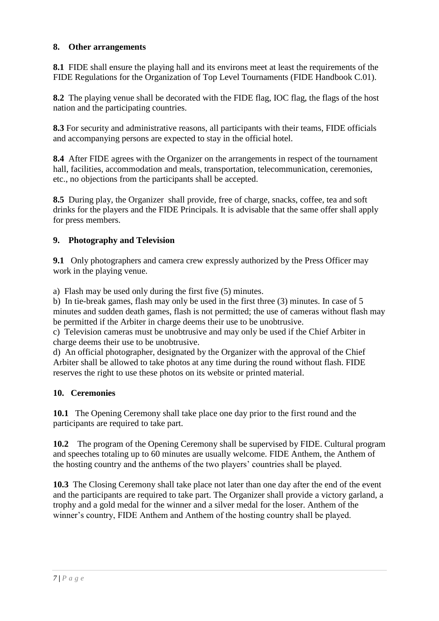### **8. Other arrangements**

**8.1** FIDE shall ensure the playing hall and its environs meet at least the requirements of the FIDE Regulations for the Organization of Top Level Tournaments (FIDE Handbook C.01).

**8.2** The playing venue shall be decorated with the FIDE flag, IOC flag, the flags of the host nation and the participating countries.

**8.3** For security and administrative reasons, all participants with their teams, FIDE officials and accompanying persons are expected to stay in the official hotel.

**8.4** After FIDE agrees with the Organizer on the arrangements in respect of the tournament hall, facilities, accommodation and meals, transportation, telecommunication, ceremonies, etc., no objections from the participants shall be accepted.

**8.5** During play, the Organizer shall provide, free of charge, snacks, coffee, tea and soft drinks for the players and the FIDE Principals. It is advisable that the same offer shall apply for press members.

### **9. Photography and Television**

**9.1** Only photographers and camera crew expressly authorized by the Press Officer may work in the playing venue.

a) Flash may be used only during the first five (5) minutes.

b) In tie-break games, flash may only be used in the first three (3) minutes. In case of 5 minutes and sudden death games, flash is not permitted; the use of cameras without flash may be permitted if the Arbiter in charge deems their use to be unobtrusive.

c) Television cameras must be unobtrusive and may only be used if the Chief Arbiter in charge deems their use to be unobtrusive.

d) An official photographer, designated by the Organizer with the approval of the Chief Arbiter shall be allowed to take photos at any time during the round without flash. FIDE reserves the right to use these photos on its website or printed material.

### **10. Ceremonies**

**10.1** The Opening Ceremony shall take place one day prior to the first round and the participants are required to take part.

**10.2** The program of the Opening Ceremony shall be supervised by FIDE. Cultural program and speeches totaling up to 60 minutes are usually welcome. FIDE Anthem, the Anthem of the hosting country and the anthems of the two players' countries shall be played.

**10.3** The Closing Ceremony shall take place not later than one day after the end of the event and the participants are required to take part. The Organizer shall provide a victory garland, a trophy and a gold medal for the winner and a silver medal for the loser. Anthem of the winner's country, FIDE Anthem and Anthem of the hosting country shall be played.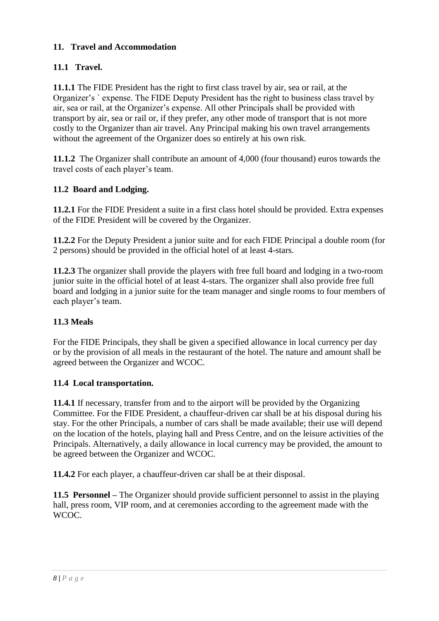### **11. Travel and Accommodation**

# **11.1 Travel.**

**11.1.1** The FIDE President has the right to first class travel by air, sea or rail, at the Organizer's ` expense. The FIDE Deputy President has the right to business class travel by air, sea or rail, at the Organizer's expense. All other Principals shall be provided with transport by air, sea or rail or, if they prefer, any other mode of transport that is not more costly to the Organizer than air travel. Any Principal making his own travel arrangements without the agreement of the Organizer does so entirely at his own risk.

**11.1.2** The Organizer shall contribute an amount of 4,000 (four thousand) euros towards the travel costs of each player's team.

### **11.2 Board and Lodging.**

**11.2.1** For the FIDE President a suite in a first class hotel should be provided. Extra expenses of the FIDE President will be covered by the Organizer.

**11.2.2** For the Deputy President a junior suite and for each FIDE Principal a double room (for 2 persons) should be provided in the official hotel of at least 4-stars.

**11.2.3** The organizer shall provide the players with free full board and lodging in a two-room junior suite in the official hotel of at least 4-stars. The organizer shall also provide free full board and lodging in a junior suite for the team manager and single rooms to four members of each player's team.

### **11.3 Meals**

For the FIDE Principals, they shall be given a specified allowance in local currency per day or by the provision of all meals in the restaurant of the hotel. The nature and amount shall be agreed between the Organizer and WCOC.

### **11.4 Local transportation.**

**11.4.1** If necessary, transfer from and to the airport will be provided by the Organizing Committee. For the FIDE President, a chauffeur-driven car shall be at his disposal during his stay. For the other Principals, a number of cars shall be made available; their use will depend on the location of the hotels, playing hall and Press Centre, and on the leisure activities of the Principals. Alternatively, a daily allowance in local currency may be provided, the amount to be agreed between the Organizer and WCOC.

**11.4.2** For each player, a chauffeur-driven car shall be at their disposal.

**11.5 Personnel –** The Organizer should provide sufficient personnel to assist in the playing hall, press room, VIP room, and at ceremonies according to the agreement made with the WCOC.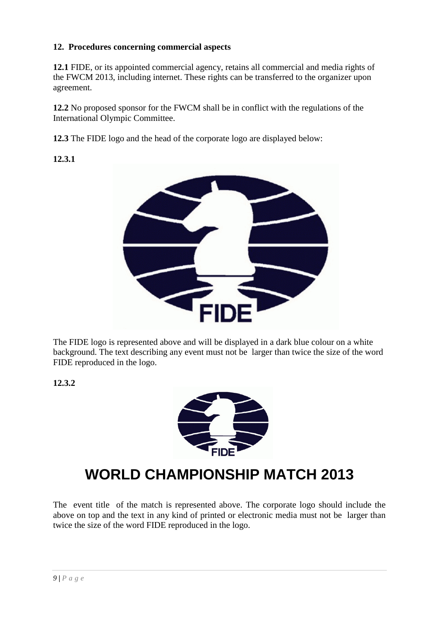### **12. Procedures concerning commercial aspects**

**12.1** FIDE, or its appointed commercial agency, retains all commercial and media rights of the FWCM 2013, including internet. These rights can be transferred to the organizer upon agreement.

**12.2** No proposed sponsor for the FWCM shall be in conflict with the regulations of the International Olympic Committee.

**12.3** The FIDE logo and the head of the corporate logo are displayed below:

**12.3.1**



The FIDE logo is represented above and will be displayed in a dark blue colour on a white background. The text describing any event must not be larger than twice the size of the word FIDE reproduced in the logo.

**12.3.2**



# **WORLD CHAMPIONSHIP MATCH 2013**

The event title of the match is represented above. The corporate logo should include the above on top and the text in any kind of printed or electronic media must not be larger than twice the size of the word FIDE reproduced in the logo.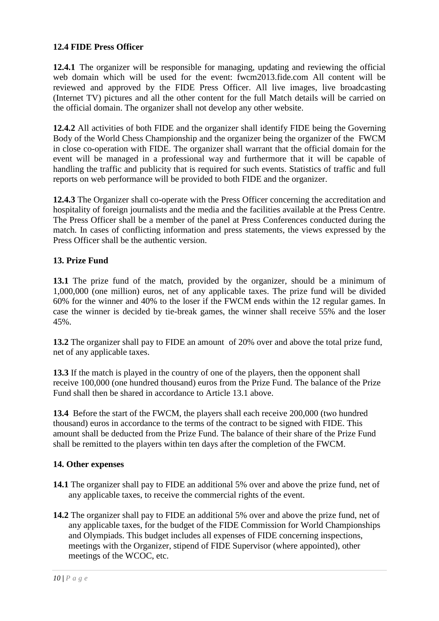### **12.4 FIDE Press Officer**

**12.4.1** The organizer will be responsible for managing, updating and reviewing the official web domain which will be used for the event: fwcm2013.fide.com All content will be reviewed and approved by the FIDE Press Officer. All live images, live broadcasting (Internet TV) pictures and all the other content for the full Match details will be carried on the official domain. The organizer shall not develop any other website.

**12.4.2** All activities of both FIDE and the organizer shall identify FIDE being the Governing Body of the World Chess Championship and the organizer being the organizer of the FWCM in close co-operation with FIDE. The organizer shall warrant that the official domain for the event will be managed in a professional way and furthermore that it will be capable of handling the traffic and publicity that is required for such events. Statistics of traffic and full reports on web performance will be provided to both FIDE and the organizer.

**12.4.3** The Organizer shall co-operate with the Press Officer concerning the accreditation and hospitality of foreign journalists and the media and the facilities available at the Press Centre. The Press Officer shall be a member of the panel at Press Conferences conducted during the match. In cases of conflicting information and press statements, the views expressed by the Press Officer shall be the authentic version.

### **13. Prize Fund**

**13.1** The prize fund of the match, provided by the organizer, should be a minimum of 1,000,000 (one million) euros, net of any applicable taxes. The prize fund will be divided 60% for the winner and 40% to the loser if the FWCM ends within the 12 regular games. In case the winner is decided by tie-break games, the winner shall receive 55% and the loser 45%.

**13.2** The organizer shall pay to FIDE an amount of 20% over and above the total prize fund, net of any applicable taxes.

**13.3** If the match is played in the country of one of the players, then the opponent shall receive 100,000 (one hundred thousand) euros from the Prize Fund. The balance of the Prize Fund shall then be shared in accordance to Article 13.1 above.

**13.4** Before the start of the FWCM, the players shall each receive 200,000 (two hundred thousand) euros in accordance to the terms of the contract to be signed with FIDE. This amount shall be deducted from the Prize Fund. The balance of their share of the Prize Fund shall be remitted to the players within ten days after the completion of the FWCM.

### **14. Other expenses**

- **14.1** The organizer shall pay to FIDE an additional 5% over and above the prize fund, net of any applicable taxes, to receive the commercial rights of the event.
- **14.2** The organizer shall pay to FIDE an additional 5% over and above the prize fund, net of any applicable taxes, for the budget of the FIDE Commission for World Championships and Olympiads. This budget includes all expenses of FIDE concerning inspections, meetings with the Organizer, stipend of FIDE Supervisor (where appointed), other meetings of the WCOC, etc.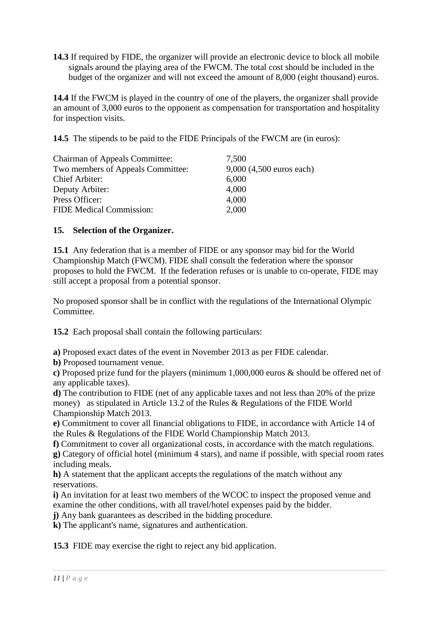**14.3** If required by FIDE, the organizer will provide an electronic device to block all mobile signals around the playing area of the FWCM. The total cost should be included in the budget of the organizer and will not exceed the amount of 8,000 (eight thousand) euros.

**14.4** If the FWCM is played in the country of one of the players, the organizer shall provide an amount of 3,000 euros to the opponent as compensation for transportation and hospitality for inspection visits.

**14.5** The stipends to be paid to the FIDE Principals of the FWCM are (in euros):

| <b>Chairman of Appeals Committee:</b> | 7,500                    |
|---------------------------------------|--------------------------|
| Two members of Appeals Committee:     | 9,000 (4,500 euros each) |
| Chief Arbiter:                        | 6,000                    |
| Deputy Arbiter:                       | 4,000                    |
| Press Officer:                        | 4,000                    |
| <b>FIDE Medical Commission:</b>       | 2,000                    |

### **15. Selection of the Organizer.**

**15.1** Any federation that is a member of FIDE or any sponsor may bid for the World Championship Match (FWCM). FIDE shall consult the federation where the sponsor proposes to hold the FWCM. If the federation refuses or is unable to co-operate, FIDE may still accept a proposal from a potential sponsor.

No proposed sponsor shall be in conflict with the regulations of the International Olympic Committee.

**15.2** Each proposal shall contain the following particulars:

**a)** Proposed exact dates of the event in November 2013 as per FIDE calendar.

**b)** Proposed tournament venue.

**c)** Proposed prize fund for the players (minimum 1,000,000 euros & should be offered net of any applicable taxes).

**d)** The contribution to FIDE (net of any applicable taxes and not less than 20% of the prize money) as stipulated in Article 13.2 of the Rules & Regulations of the FIDE World Championship Match 2013.

**e)** Commitment to cover all financial obligations to FIDE, in accordance with Article 14 of the Rules & Regulations of the FIDE World Championship Match 2013.

**f)** Commitment to cover all organizational costs, in accordance with the match regulations. **g)** Category of official hotel (minimum 4 stars), and name if possible, with special room rates including meals.

**h)** A statement that the applicant accepts the regulations of the match without any reservations.

**i)** An invitation for at least two members of the WCOC to inspect the proposed venue and examine the other conditions, with all travel/hotel expenses paid by the bidder.

**j)** Any bank guarantees as described in the bidding procedure.

**k)** The applicant's name, signatures and authentication.

**15.3** FIDE may exercise the right to reject any bid application.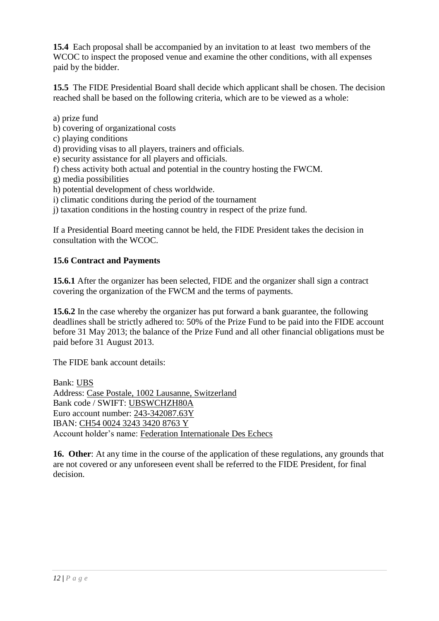**15.4** Each proposal shall be accompanied by an invitation to at least two members of the WCOC to inspect the proposed venue and examine the other conditions, with all expenses paid by the bidder.

**15.5** The FIDE Presidential Board shall decide which applicant shall be chosen. The decision reached shall be based on the following criteria, which are to be viewed as a whole:

a) prize fund b) covering of organizational costs c) playing conditions d) providing visas to all players, trainers and officials. e) security assistance for all players and officials. f) chess activity both actual and potential in the country hosting the FWCM. g) media possibilities h) potential development of chess worldwide.

i) climatic conditions during the period of the tournament

j) taxation conditions in the hosting country in respect of the prize fund.

If a Presidential Board meeting cannot be held, the FIDE President takes the decision in consultation with the WCOC.

### **15.6 Contract and Payments**

**15.6.1** After the organizer has been selected, FIDE and the organizer shall sign a contract covering the organization of the FWCM and the terms of payments.

**15.6.2** In the case whereby the organizer has put forward a bank guarantee, the following deadlines shall be strictly adhered to: 50% of the Prize Fund to be paid into the FIDE account before 31 May 2013; the balance of the Prize Fund and all other financial obligations must be paid before 31 August 2013.

The FIDE bank account details:

Bank: UBS Address: Case Postale, 1002 Lausanne, Switzerland Bank code / SWIFT: UBSWCHZH80A Euro account number: 243-342087.63Y IBAN: CH54 0024 3243 3420 8763 Y Account holder's name: Federation Internationale Des Echecs

**16. Other**: At any time in the course of the application of these regulations, any grounds that are not covered or any unforeseen event shall be referred to the FIDE President, for final decision.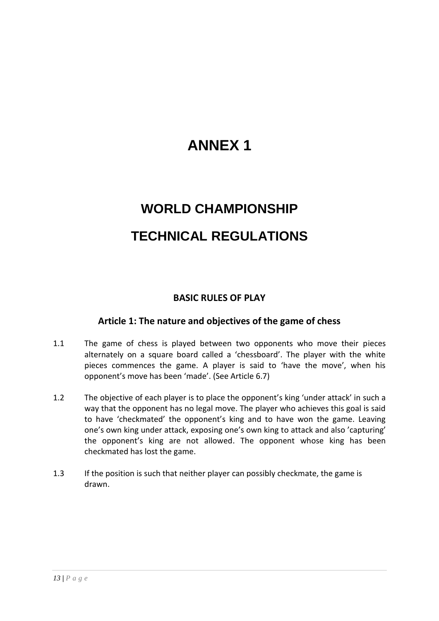# **ANNEX 1**

# **WORLD CHAMPIONSHIP TECHNICAL REGULATIONS**

# **BASIC RULES OF PLAY**

### **Article 1: The nature and objectives of the game of chess**

- 1.1 The game of chess is played between two opponents who move their pieces alternately on a square board called a 'chessboard'. The player with the white pieces commences the game. A player is said to 'have the move', when his opponent's move has been 'made'. (See Article 6.7)
- 1.2 The objective of each player is to place the opponent's king 'under attack' in such a way that the opponent has no legal move. The player who achieves this goal is said to have 'checkmated' the opponent's king and to have won the game. Leaving one's own king under attack, exposing one's own king to attack and also 'capturing' the opponent's king are not allowed. The opponent whose king has been checkmated has lost the game.
- 1.3 If the position is such that neither player can possibly checkmate, the game is drawn.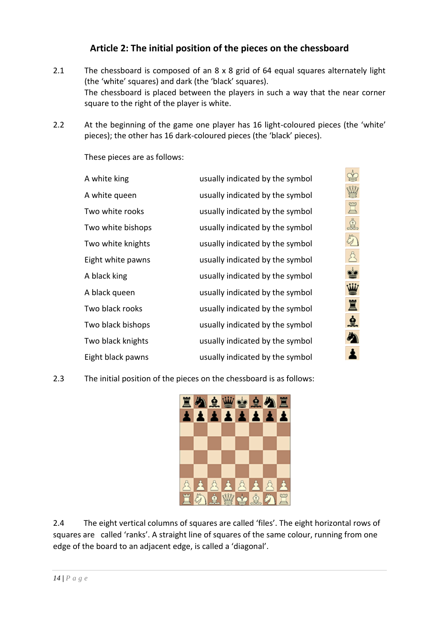# **Article 2: The initial position of the pieces on the chessboard**

- 2.1 The chessboard is composed of an 8 x 8 grid of 64 equal squares alternately light (the 'white' squares) and dark (the 'black' squares). The chessboard is placed between the players in such a way that the near corner square to the right of the player is white.
- 2.2 At the beginning of the game one player has 16 light-coloured pieces (the 'white' pieces); the other has 16 dark-coloured pieces (the 'black' pieces).

These pieces are as follows:

| A white king      | usually indicated by the symbol |
|-------------------|---------------------------------|
| A white queen     | usually indicated by the symbol |
| Two white rooks   | usually indicated by the symbol |
| Two white bishops | usually indicated by the symbol |
| Two white knights | usually indicated by the symbol |
| Eight white pawns | usually indicated by the symbol |
| A black king      | usually indicated by the symbol |
| A black queen     | usually indicated by the symbol |
| Two black rooks   | usually indicated by the symbol |
| Two black bishops | usually indicated by the symbol |
| Two black knights | usually indicated by the symbol |
| Eight black pawns | usually indicated by the symbol |

医病学的变形

魚

么

2.3 The initial position of the pieces on the chessboard is as follows:



2.4 The eight vertical columns of squares are called 'files'. The eight horizontal rows of squares are called 'ranks'. A straight line of squares of the same colour, running from one edge of the board to an adjacent edge, is called a 'diagonal'.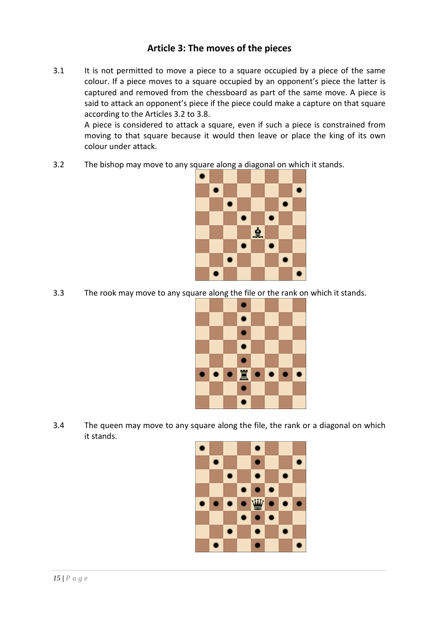# **Article 3: The moves of the pieces**

3.1 It is not permitted to move a piece to a square occupied by a piece of the same colour. If a piece moves to a square occupied by an opponent's piece the latter is captured and removed from the chessboard as part of the same move. A piece is said to attack an opponent's piece if the piece could make a capture on that square according to the Articles 3.2 to 3.8.

A piece is considered to attack a square, even if such a piece is constrained from moving to that square because it would then leave or place the king of its own colour under attack.

3.2 The bishop may move to any square along a diagonal on which it stands.



3.3 The rook may move to any square along the file or the rank on which it stands.



3.4 The queen may move to any square along the file, the rank or a diagonal on which it stands.

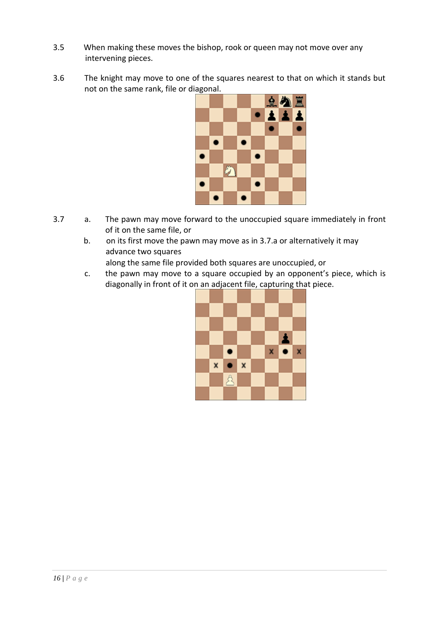- 3.5 When making these moves the bishop, rook or queen may not move over any intervening pieces.
- 3.6 The knight may move to one of the squares nearest to that on which it stands but not on the same rank, file or diagonal.



- 3.7 a. The pawn may move forward to the unoccupied square immediately in front of it on the same file, or
	- b. on its first move the pawn may move as in 3.7.a or alternatively it may advance two squares

along the same file provided both squares are unoccupied, or

c. the pawn may move to a square occupied by an opponent's piece, which is diagonally in front of it on an adjacent file, capturing that piece.

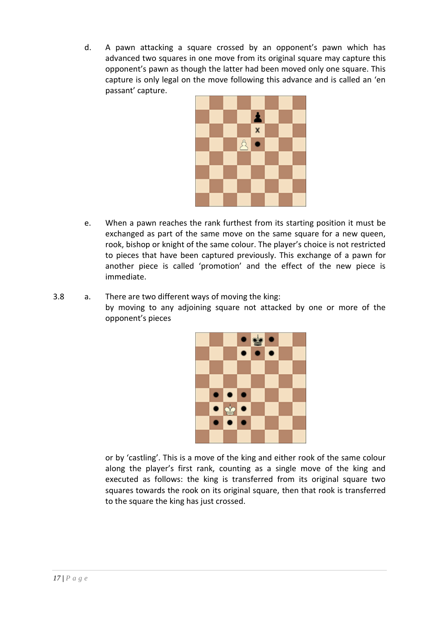d. A pawn attacking a square crossed by an opponent's pawn which has advanced two squares in one move from its original square may capture this opponent's pawn as though the latter had been moved only one square. This capture is only legal on the move following this advance and is called an 'en passant' capture.



- e. When a pawn reaches the rank furthest from its starting position it must be exchanged as part of the same move on the same square for a new queen, rook, bishop or knight of the same colour. The player's choice is not restricted to pieces that have been captured previously. This exchange of a pawn for another piece is called 'promotion' and the effect of the new piece is immediate.
- 3.8 a. There are two different ways of moving the king: by moving to any adjoining square not attacked by one or more of the opponent's pieces



or by 'castling'. This is a move of the king and either rook of the same colour along the player's first rank, counting as a single move of the king and executed as follows: the king is transferred from its original square two squares towards the rook on its original square, then that rook is transferred to the square the king has just crossed.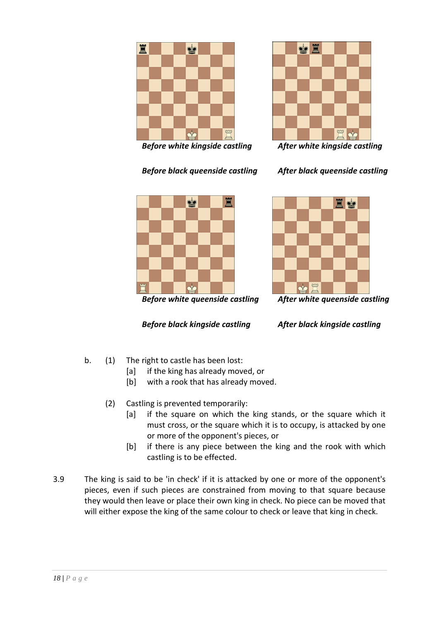

*Before white kingside castling After white kingside castling*









*Before black kingside castling After black kingside castling*

- b. (1) The right to castle has been lost:
	- [a] if the king has already moved, or
	- [b] with a rook that has already moved.
	- (2) Castling is prevented temporarily:
		- [a] if the square on which the king stands, or the square which it must cross, or the square which it is to occupy, is attacked by one or more of the opponent's pieces, or
		- [b] if there is any piece between the king and the rook with which castling is to be effected.
- 3.9 The king is said to be 'in check' if it is attacked by one or more of the opponent's pieces, even if such pieces are constrained from moving to that square because they would then leave or place their own king in check. No piece can be moved that will either expose the king of the same colour to check or leave that king in check.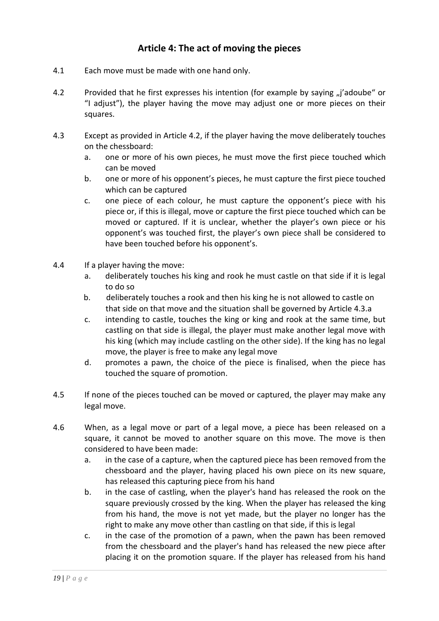# **Article 4: The act of moving the pieces**

- 4.1 Each move must be made with one hand only.
- 4.2 Provided that he first expresses his intention (for example by saying "j'adoube" or "I adjust"), the player having the move may adjust one or more pieces on their squares.
- 4.3 Except as provided in Article 4.2, if the player having the move deliberately touches on the chessboard:
	- a. one or more of his own pieces, he must move the first piece touched which can be moved
	- b. one or more of his opponent's pieces, he must capture the first piece touched which can be captured
	- c. one piece of each colour, he must capture the opponent's piece with his piece or, if this is illegal, move or capture the first piece touched which can be moved or captured. If it is unclear, whether the player's own piece or his opponent's was touched first, the player's own piece shall be considered to have been touched before his opponent's.
- 4.4 If a player having the move:
	- a. deliberately touches his king and rook he must castle on that side if it is legal to do so
	- b. deliberately touches a rook and then his king he is not allowed to castle on that side on that move and the situation shall be governed by Article 4.3.a
	- c. intending to castle, touches the king or king and rook at the same time, but castling on that side is illegal, the player must make another legal move with his king (which may include castling on the other side). If the king has no legal move, the player is free to make any legal move
	- d. promotes a pawn, the choice of the piece is finalised, when the piece has touched the square of promotion.
- 4.5 If none of the pieces touched can be moved or captured, the player may make any legal move.
- 4.6 When, as a legal move or part of a legal move, a piece has been released on a square, it cannot be moved to another square on this move. The move is then considered to have been made:
	- a. in the case of a capture, when the captured piece has been removed from the chessboard and the player, having placed his own piece on its new square, has released this capturing piece from his hand
	- b. in the case of castling, when the player's hand has released the rook on the square previously crossed by the king. When the player has released the king from his hand, the move is not yet made, but the player no longer has the right to make any move other than castling on that side, if this is legal
	- c. in the case of the promotion of a pawn, when the pawn has been removed from the chessboard and the player's hand has released the new piece after placing it on the promotion square. If the player has released from his hand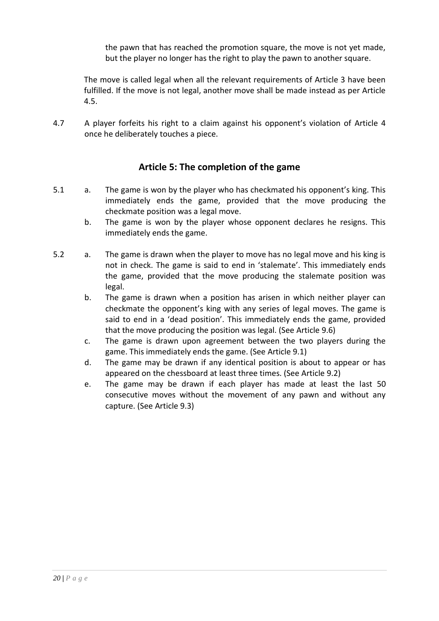the pawn that has reached the promotion square, the move is not yet made, but the player no longer has the right to play the pawn to another square.

The move is called legal when all the relevant requirements of Article 3 have been fulfilled. If the move is not legal, another move shall be made instead as per Article 4.5.

4.7 A player forfeits his right to a claim against his opponent's violation of Article 4 once he deliberately touches a piece.

# **Article 5: The completion of the game**

- 5.1 a. The game is won by the player who has checkmated his opponent's king. This immediately ends the game, provided that the move producing the checkmate position was a legal move.
	- b. The game is won by the player whose opponent declares he resigns. This immediately ends the game.
- 5.2 a. The game is drawn when the player to move has no legal move and his king is not in check. The game is said to end in 'stalemate'. This immediately ends the game, provided that the move producing the stalemate position was legal.
	- b. The game is drawn when a position has arisen in which neither player can checkmate the opponent's king with any series of legal moves. The game is said to end in a 'dead position'. This immediately ends the game, provided that the move producing the position was legal. (See Article 9.6)
	- c. The game is drawn upon agreement between the two players during the game. This immediately ends the game. (See Article 9.1)
	- d. The game may be drawn if any identical position is about to appear or has appeared on the chessboard at least three times. (See Article 9.2)
	- e. The game may be drawn if each player has made at least the last 50 consecutive moves without the movement of any pawn and without any capture. (See Article 9.3)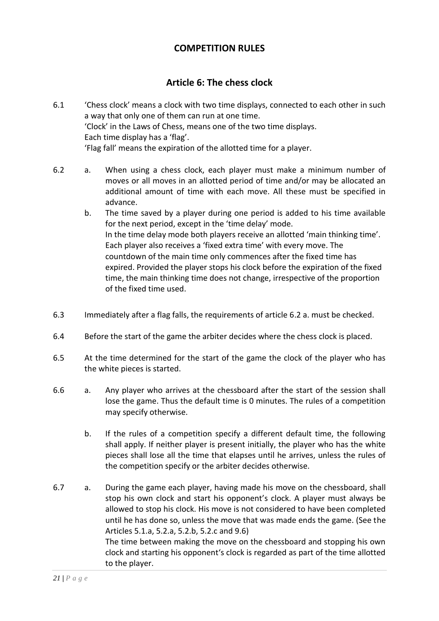# **COMPETITION RULES**

# **Article 6: The chess clock**

- 6.1 'Chess clock' means a clock with two time displays, connected to each other in such a way that only one of them can run at one time. 'Clock' in the Laws of Chess, means one of the two time displays. Each time display has a 'flag'. 'Flag fall' means the expiration of the allotted time for a player.
- 6.2 a. When using a chess clock, each player must make a minimum number of moves or all moves in an allotted period of time and/or may be allocated an additional amount of time with each move. All these must be specified in advance.
	- b. The time saved by a player during one period is added to his time available for the next period, except in the 'time delay' mode. In the time delay mode both players receive an allotted 'main thinking time'. Each player also receives a 'fixed extra time' with every move. The countdown of the main time only commences after the fixed time has expired. Provided the player stops his clock before the expiration of the fixed time, the main thinking time does not change, irrespective of the proportion of the fixed time used.
- 6.3 Immediately after a flag falls, the requirements of article 6.2 a. must be checked.
- 6.4 Before the start of the game the arbiter decides where the chess clock is placed.
- 6.5 At the time determined for the start of the game the clock of the player who has the white pieces is started.
- 6.6 a. Any player who arrives at the chessboard after the start of the session shall lose the game. Thus the default time is 0 minutes. The rules of a competition may specify otherwise.
	- b. If the rules of a competition specify a different default time, the following shall apply. If neither player is present initially, the player who has the white pieces shall lose all the time that elapses until he arrives, unless the rules of the competition specify or the arbiter decides otherwise.
- 6.7 a. During the game each player, having made his move on the chessboard, shall stop his own clock and start his opponent's clock. A player must always be allowed to stop his clock. His move is not considered to have been completed until he has done so, unless the move that was made ends the game. (See the Articles 5.1.a, 5.2.a, 5.2.b, 5.2.c and 9.6) The time between making the move on the chessboard and stopping his own clock and starting his opponent's clock is regarded as part of the time allotted to the player.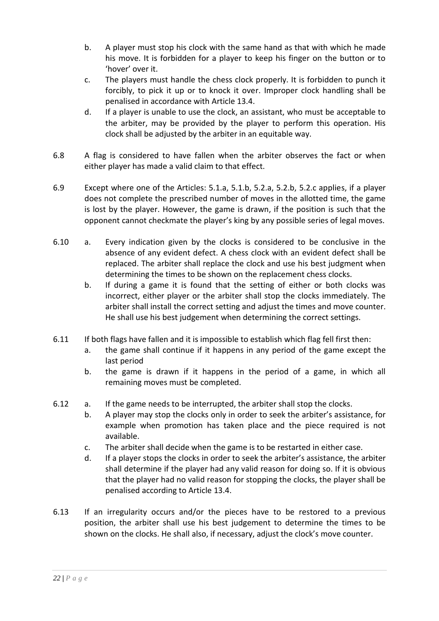- b. A player must stop his clock with the same hand as that with which he made his move. It is forbidden for a player to keep his finger on the button or to 'hover' over it.
- c. The players must handle the chess clock properly. It is forbidden to punch it forcibly, to pick it up or to knock it over. Improper clock handling shall be penalised in accordance with Article 13.4.
- d. If a player is unable to use the clock, an assistant, who must be acceptable to the arbiter, may be provided by the player to perform this operation. His clock shall be adjusted by the arbiter in an equitable way.
- 6.8 A flag is considered to have fallen when the arbiter observes the fact or when either player has made a valid claim to that effect.
- 6.9 Except where one of the Articles: 5.1.a, 5.1.b, 5.2.a, 5.2.b, 5.2.c applies, if a player does not complete the prescribed number of moves in the allotted time, the game is lost by the player. However, the game is drawn, if the position is such that the opponent cannot checkmate the player's king by any possible series of legal moves.
- 6.10 a. Every indication given by the clocks is considered to be conclusive in the absence of any evident defect. A chess clock with an evident defect shall be replaced. The arbiter shall replace the clock and use his best judgment when determining the times to be shown on the replacement chess clocks.
	- b. If during a game it is found that the setting of either or both clocks was incorrect, either player or the arbiter shall stop the clocks immediately. The arbiter shall install the correct setting and adjust the times and move counter. He shall use his best judgement when determining the correct settings.
- 6.11 If both flags have fallen and it is impossible to establish which flag fell first then:
	- a. the game shall continue if it happens in any period of the game except the last period
	- b. the game is drawn if it happens in the period of a game, in which all remaining moves must be completed.
- 6.12 a. If the game needs to be interrupted, the arbiter shall stop the clocks.
	- b. A player may stop the clocks only in order to seek the arbiter's assistance, for example when promotion has taken place and the piece required is not available.
	- c. The arbiter shall decide when the game is to be restarted in either case.
	- d. If a player stops the clocks in order to seek the arbiter's assistance, the arbiter shall determine if the player had any valid reason for doing so. If it is obvious that the player had no valid reason for stopping the clocks, the player shall be penalised according to Article 13.4.
- 6.13 If an irregularity occurs and/or the pieces have to be restored to a previous position, the arbiter shall use his best judgement to determine the times to be shown on the clocks. He shall also, if necessary, adjust the clock's move counter.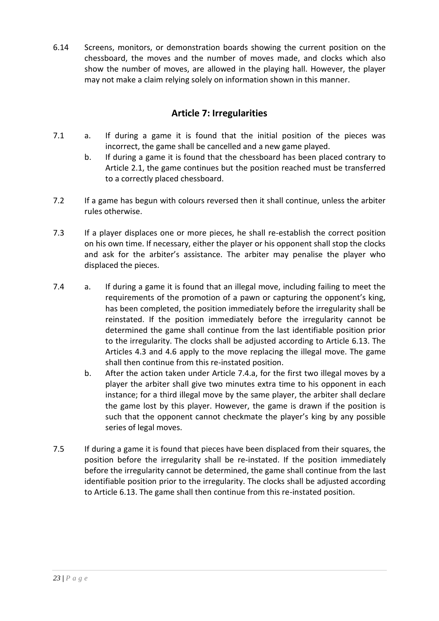6.14 Screens, monitors, or demonstration boards showing the current position on the chessboard, the moves and the number of moves made, and clocks which also show the number of moves, are allowed in the playing hall. However, the player may not make a claim relying solely on information shown in this manner.

# **Article 7: Irregularities**

- 7.1 a. If during a game it is found that the initial position of the pieces was incorrect, the game shall be cancelled and a new game played.
	- b. If during a game it is found that the chessboard has been placed contrary to Article 2.1, the game continues but the position reached must be transferred to a correctly placed chessboard.
- 7.2 If a game has begun with colours reversed then it shall continue, unless the arbiter rules otherwise.
- 7.3 If a player displaces one or more pieces, he shall re-establish the correct position on his own time. If necessary, either the player or his opponent shall stop the clocks and ask for the arbiter's assistance. The arbiter may penalise the player who displaced the pieces.
- 7.4 a. If during a game it is found that an illegal move, including failing to meet the requirements of the promotion of a pawn or capturing the opponent's king, has been completed, the position immediately before the irregularity shall be reinstated. If the position immediately before the irregularity cannot be determined the game shall continue from the last identifiable position prior to the irregularity. The clocks shall be adjusted according to Article 6.13. The Articles 4.3 and 4.6 apply to the move replacing the illegal move. The game shall then continue from this re-instated position.
	- b. After the action taken under Article 7.4.a, for the first two illegal moves by a player the arbiter shall give two minutes extra time to his opponent in each instance; for a third illegal move by the same player, the arbiter shall declare the game lost by this player. However, the game is drawn if the position is such that the opponent cannot checkmate the player's king by any possible series of legal moves.
- 7.5 If during a game it is found that pieces have been displaced from their squares, the position before the irregularity shall be re-instated. If the position immediately before the irregularity cannot be determined, the game shall continue from the last identifiable position prior to the irregularity. The clocks shall be adjusted according to Article 6.13. The game shall then continue from this re-instated position.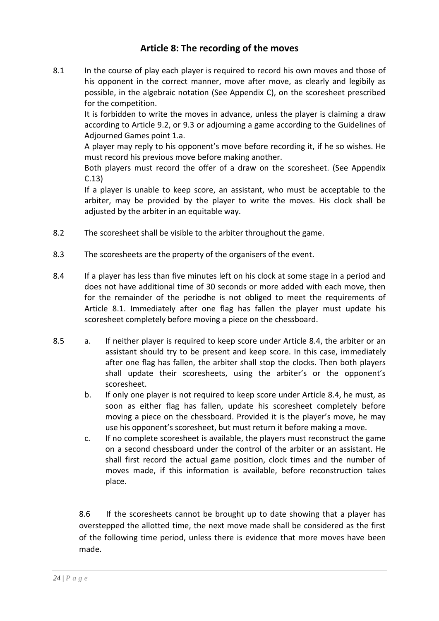# **Article 8: The recording of the moves**

8.1 In the course of play each player is required to record his own moves and those of his opponent in the correct manner, move after move, as clearly and legibily as possible, in the algebraic notation (See Appendix C), on the scoresheet prescribed for the competition.

It is forbidden to write the moves in advance, unless the player is claiming a draw according to Article 9.2, or 9.3 or adjourning a game according to the Guidelines of Adjourned Games point 1.a.

A player may reply to his opponent's move before recording it, if he so wishes. He must record his previous move before making another.

Both players must record the offer of a draw on the scoresheet. (See Appendix C.13)

If a player is unable to keep score, an assistant, who must be acceptable to the arbiter, may be provided by the player to write the moves. His clock shall be adjusted by the arbiter in an equitable way.

- 8.2 The scoresheet shall be visible to the arbiter throughout the game.
- 8.3 The scoresheets are the property of the organisers of the event.
- 8.4 If a player has less than five minutes left on his clock at some stage in a period and does not have additional time of 30 seconds or more added with each move, then for the remainder of the periodhe is not obliged to meet the requirements of Article 8.1. Immediately after one flag has fallen the player must update his scoresheet completely before moving a piece on the chessboard.
- 8.5 a. If neither player is required to keep score under Article 8.4, the arbiter or an assistant should try to be present and keep score. In this case, immediately after one flag has fallen, the arbiter shall stop the clocks. Then both players shall update their scoresheets, using the arbiter's or the opponent's scoresheet.
	- b. If only one player is not required to keep score under Article 8.4, he must, as soon as either flag has fallen, update his scoresheet completely before moving a piece on the chessboard. Provided it is the player's move, he may use his opponent's scoresheet, but must return it before making a move.
	- c. If no complete scoresheet is available, the players must reconstruct the game on a second chessboard under the control of the arbiter or an assistant. He shall first record the actual game position, clock times and the number of moves made, if this information is available, before reconstruction takes place.

8.6 If the scoresheets cannot be brought up to date showing that a player has overstepped the allotted time, the next move made shall be considered as the first of the following time period, unless there is evidence that more moves have been made.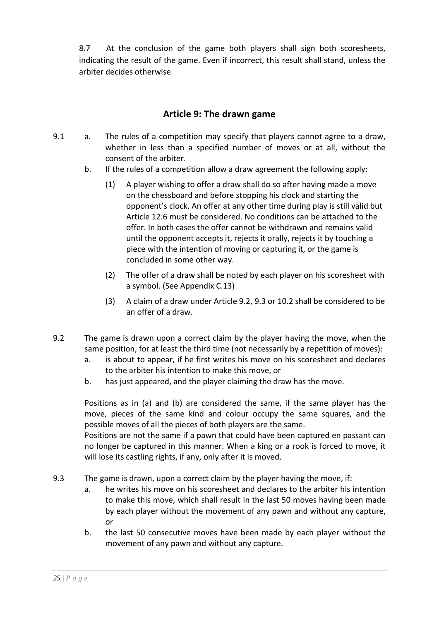8.7 At the conclusion of the game both players shall sign both scoresheets, indicating the result of the game. Even if incorrect, this result shall stand, unless the arbiter decides otherwise.

# **Article 9: The drawn game**

- 9.1 a. The rules of a competition may specify that players cannot agree to a draw, whether in less than a specified number of moves or at all, without the consent of the arbiter.
	- b. If the rules of a competition allow a draw agreement the following apply:
		- (1) A player wishing to offer a draw shall do so after having made a move on the chessboard and before stopping his clock and starting the opponent's clock. An offer at any other time during play is still valid but Article 12.6 must be considered. No conditions can be attached to the offer. In both cases the offer cannot be withdrawn and remains valid until the opponent accepts it, rejects it orally, rejects it by touching a piece with the intention of moving or capturing it, or the game is concluded in some other way.
		- (2) The offer of a draw shall be noted by each player on his scoresheet with a symbol. (See Appendix C.13)
		- (3) A claim of a draw under Article 9.2, 9.3 or 10.2 shall be considered to be an offer of a draw.
- 9.2 The game is drawn upon a correct claim by the player having the move, when the same position, for at least the third time (not necessarily by a repetition of moves):
	- a. is about to appear, if he first writes his move on his scoresheet and declares to the arbiter his intention to make this move, or
	- b. has just appeared, and the player claiming the draw has the move.

Positions as in (a) and (b) are considered the same, if the same player has the move, pieces of the same kind and colour occupy the same squares, and the possible moves of all the pieces of both players are the same.

Positions are not the same if a pawn that could have been captured en passant can no longer be captured in this manner. When a king or a rook is forced to move, it will lose its castling rights, if any, only after it is moved.

- 9.3 The game is drawn, upon a correct claim by the player having the move, if:
	- a. he writes his move on his scoresheet and declares to the arbiter his intention to make this move, which shall result in the last 50 moves having been made by each player without the movement of any pawn and without any capture, or
	- b. the last 50 consecutive moves have been made by each player without the movement of any pawn and without any capture.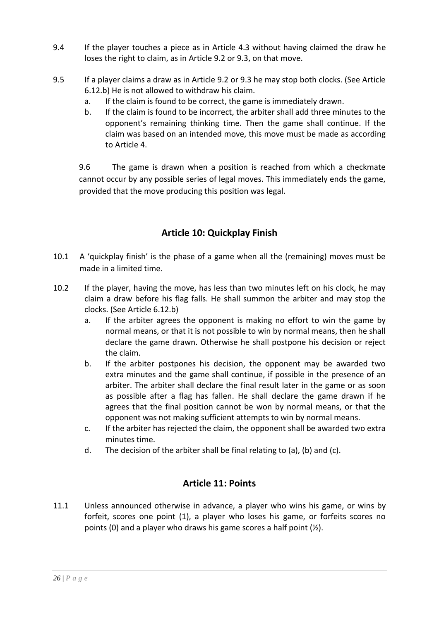- 9.4 If the player touches a piece as in Article 4.3 without having claimed the draw he loses the right to claim, as in Article 9.2 or 9.3, on that move.
- 9.5 If a player claims a draw as in Article 9.2 or 9.3 he may stop both clocks. (See Article 6.12.b) He is not allowed to withdraw his claim.
	- a. If the claim is found to be correct, the game is immediately drawn.
	- b. If the claim is found to be incorrect, the arbiter shall add three minutes to the opponent's remaining thinking time. Then the game shall continue. If the claim was based on an intended move, this move must be made as according to Article 4.

9.6 The game is drawn when a position is reached from which a checkmate cannot occur by any possible series of legal moves. This immediately ends the game, provided that the move producing this position was legal.

# **Article 10: Quickplay Finish**

- 10.1 A 'quickplay finish' is the phase of a game when all the (remaining) moves must be made in a limited time.
- 10.2 If the player, having the move, has less than two minutes left on his clock, he may claim a draw before his flag falls. He shall summon the arbiter and may stop the clocks. (See Article 6.12.b)
	- a. If the arbiter agrees the opponent is making no effort to win the game by normal means, or that it is not possible to win by normal means, then he shall declare the game drawn. Otherwise he shall postpone his decision or reject the claim.
	- b. If the arbiter postpones his decision, the opponent may be awarded two extra minutes and the game shall continue, if possible in the presence of an arbiter. The arbiter shall declare the final result later in the game or as soon as possible after a flag has fallen. He shall declare the game drawn if he agrees that the final position cannot be won by normal means, or that the opponent was not making sufficient attempts to win by normal means.
	- c. If the arbiter has rejected the claim, the opponent shall be awarded two extra minutes time.
	- d. The decision of the arbiter shall be final relating to (a), (b) and (c).

# **Article 11: Points**

11.1 Unless announced otherwise in advance, a player who wins his game, or wins by forfeit, scores one point (1), a player who loses his game, or forfeits scores no points (0) and a player who draws his game scores a half point (½).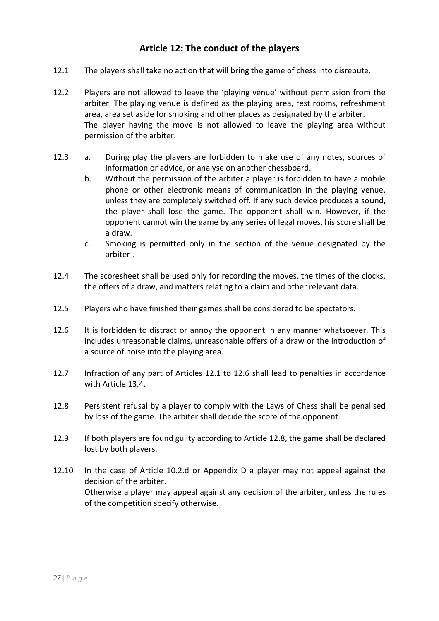# **Article 12: The conduct of the players**

- 12.1 The players shall take no action that will bring the game of chess into disrepute.
- 12.2 Players are not allowed to leave the 'playing venue' without permission from the arbiter. The playing venue is defined as the playing area, rest rooms, refreshment area, area set aside for smoking and other places as designated by the arbiter. The player having the move is not allowed to leave the playing area without permission of the arbiter.
- 12.3 a. During play the players are forbidden to make use of any notes, sources of information or advice, or analyse on another chessboard.
	- b. Without the permission of the arbiter a player is forbidden to have a mobile phone or other electronic means of communication in the playing venue, unless they are completely switched off. If any such device produces a sound, the player shall lose the game. The opponent shall win. However, if the opponent cannot win the game by any series of legal moves, his score shall be a draw.
	- c. Smoking is permitted only in the section of the venue designated by the arbiter .
- 12.4 The scoresheet shall be used only for recording the moves, the times of the clocks, the offers of a draw, and matters relating to a claim and other relevant data.
- 12.5 Players who have finished their games shall be considered to be spectators.
- 12.6 It is forbidden to distract or annoy the opponent in any manner whatsoever. This includes unreasonable claims, unreasonable offers of a draw or the introduction of a source of noise into the playing area.
- 12.7 Infraction of any part of Articles 12.1 to 12.6 shall lead to penalties in accordance with Article 13.4.
- 12.8 Persistent refusal by a player to comply with the Laws of Chess shall be penalised by loss of the game. The arbiter shall decide the score of the opponent.
- 12.9 If both players are found guilty according to Article 12.8, the game shall be declared lost by both players.
- 12.10 In the case of Article 10.2.d or Appendix D a player may not appeal against the decision of the arbiter. Otherwise a player may appeal against any decision of the arbiter, unless the rules of the competition specify otherwise.